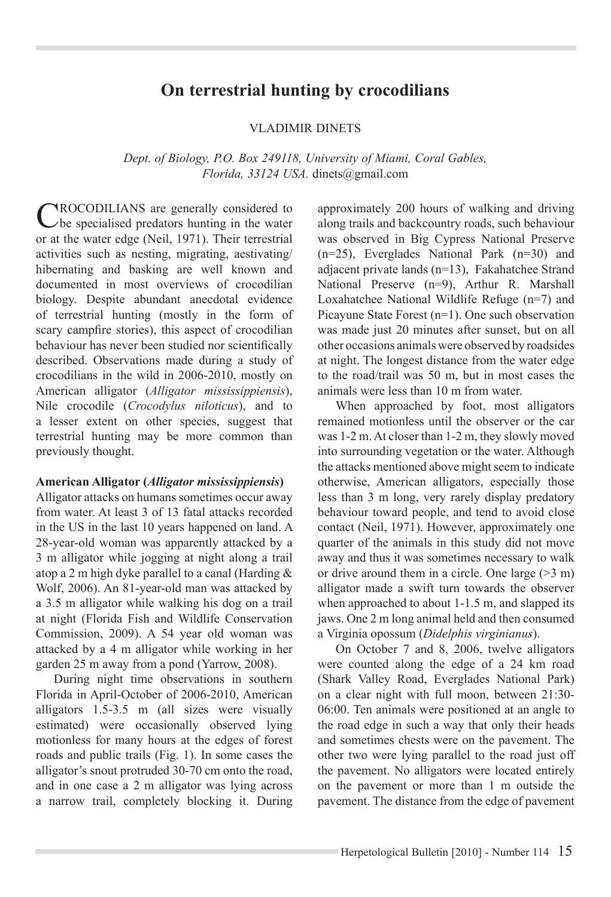# **On terrestrial hunting by crocodilians**

#### VLADIMIR DINETS

*Dept. of Biology, P.O. Box 249118, University of Miami, Coral Gables, Florida, 33124 USA.* dinets@gmail.com

Crocodilians are generally considered to be specialised predators hunting in the water or at the water edge (Neil, 1971). Their terrestrial activities such as nesting, migrating, aestivating/ hibernating and basking are well known and documented in most overviews of crocodilian biology. Despite abundant anecdotal evidence of terrestrial hunting (mostly in the form of scary campfire stories), this aspect of crocodilian behaviour has never been studied nor scientifically described. Observations made during a study of crocodilians in the wild in 2006-2010, mostly on American alligator (*Alligator mississippiensis*), Nile crocodile (*Crocodylus niloticus*), and to a lesser extent on other species, suggest that terrestrial hunting may be more common than previously thought.

#### **American Alligator (***Alligator mississippiensis***)**

Alligator attacks on humans sometimes occur away from water. At least 3 of 13 fatal attacks recorded in the US in the last 10 years happened on land. A 28-year-old woman was apparently attacked by a 3 m alligator while jogging at night along a trail atop a 2 m high dyke parallel to a canal (Harding & Wolf, 2006). An 81-year-old man was attacked by a 3.5 m alligator while walking his dog on a trail at night (Florida Fish and Wildlife Conservation Commission, 2009). A 54 year old woman was attacked by a 4 m alligator while working in her garden 25 m away from a pond (Yarrow, 2008).

During night time observations in southern Florida in April-October of 2006-2010, American alligators 1.5-3.5 m (all sizes were visually estimated) were occasionally observed lying motionless for many hours at the edges of forest roads and public trails (Fig. 1). In some cases the alligator's snout protruded 30-70 cm onto the road, and in one case a 2 m alligator was lying across a narrow trail, completely blocking it. During approximately 200 hours of walking and driving along trails and backcountry roads, such behaviour was observed in Big Cypress National Preserve (n=25), Everglades National Park (n=30) and adjacent private lands (n=13), Fakahatchee Strand National Preserve (n=9), Arthur R. Marshall Loxahatchee National Wildlife Refuge (n=7) and Picayune State Forest (n=1). One such observation was made just 20 minutes after sunset, but on all other occasions animals were observed by roadsides at night. The longest distance from the water edge to the road/trail was 50 m, but in most cases the animals were less than 10 m from water.

When approached by foot, most alligators remained motionless until the observer or the car was 1-2 m. At closer than 1-2 m, they slowly moved into surrounding vegetation or the water. Although the attacks mentioned above might seem to indicate otherwise, American alligators, especially those less than 3 m long, very rarely display predatory behaviour toward people, and tend to avoid close contact (Neil, 1971). However, approximately one quarter of the animals in this study did not move away and thus it was sometimes necessary to walk or drive around them in a circle. One large  $(>3 \text{ m})$ alligator made a swift turn towards the observer when approached to about 1-1.5 m, and slapped its jaws. One 2 m long animal held and then consumed a Virginia opossum (*Didelphis virginianus*).

On October 7 and 8, 2006, twelve alligators were counted along the edge of a 24 km road (Shark Valley Road, Everglades National Park) on a clear night with full moon, between 21:30- 06:00. Ten animals were positioned at an angle to the road edge in such a way that only their heads and sometimes chests were on the pavement. The other two were lying parallel to the road just off the pavement. No alligators were located entirely on the pavement or more than 1 m outside the pavement. The distance from the edge of pavement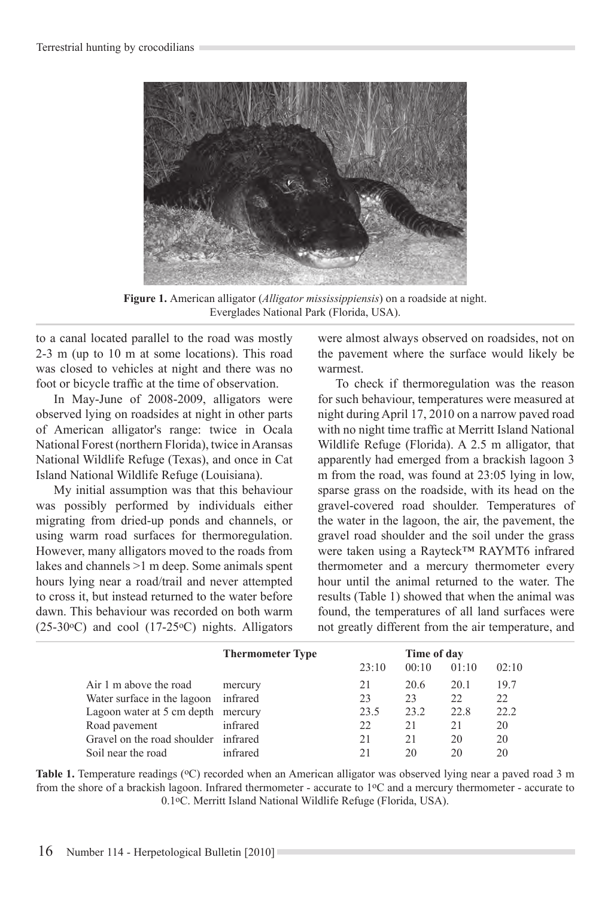

**Figure 1.** American alligator (*Alligator mississippiensis*) on a roadside at night. Everglades National Park (Florida, USA).

to a canal located parallel to the road was mostly 2-3 m (up to 10 m at some locations). This road was closed to vehicles at night and there was no foot or bicycle traffic at the time of observation.

In May-June of 2008-2009, alligators were observed lying on roadsides at night in other parts of American alligator's range: twice in Ocala National Forest (northern Florida), twice in Aransas National Wildlife Refuge (Texas), and once in Cat Island National Wildlife Refuge (Louisiana).

My initial assumption was that this behaviour was possibly performed by individuals either migrating from dried-up ponds and channels, or using warm road surfaces for thermoregulation. However, many alligators moved to the roads from lakes and channels >1 m deep. Some animals spent hours lying near a road/trail and never attempted to cross it, but instead returned to the water before dawn. This behaviour was recorded on both warm (25-30 $\textdegree$ C) and cool (17-25 $\textdegree$ C) nights. Alligators

were almost always observed on roadsides, not on the pavement where the surface would likely be warmest.

To check if thermoregulation was the reason for such behaviour, temperatures were measured at night during April 17, 2010 on a narrow paved road with no night time traffic at Merritt Island National Wildlife Refuge (Florida). A 2.5 m alligator, that apparently had emerged from a brackish lagoon 3 m from the road, was found at 23:05 lying in low, sparse grass on the roadside, with its head on the gravel-covered road shoulder. Temperatures of the water in the lagoon, the air, the pavement, the gravel road shoulder and the soil under the grass were taken using a Rayteck™ RAYMT6 infrared thermometer and a mercury thermometer every hour until the animal returned to the water. The results (Table 1) showed that when the animal was found, the temperatures of all land surfaces were not greatly different from the air temperature, and

|                                    | <b>Thermometer Type</b> | Time of day |       |       |       |  |
|------------------------------------|-------------------------|-------------|-------|-------|-------|--|
|                                    |                         | 23:10       | 00:10 | 01:10 | 02:10 |  |
| Air 1 m above the road             | mercury                 | 21          | 20.6  | 20.1  | 19.7  |  |
| Water surface in the lagoon        | infrared                | 23          | 23    | 22    | 22    |  |
| Lagoon water at 5 cm depth mercury |                         | 23.5        | 23.2  | 22.8  | 22.2  |  |
| Road pavement                      | infrared                | 22          | 21    | 21    | 20    |  |
| Gravel on the road shoulder        | infrared                | 21          | 2.1   | 20    | 20    |  |
| Soil near the road                 | infrared                |             | 20    | 20    | 20    |  |

**Table 1.** Temperature readings (<sup>o</sup>C) recorded when an American alligator was observed lying near a paved road 3 m from the shore of a brackish lagoon. Infrared thermometer - accurate to 1oC and a mercury thermometer - accurate to 0.1oC. Merritt Island National Wildlife Refuge (Florida, USA).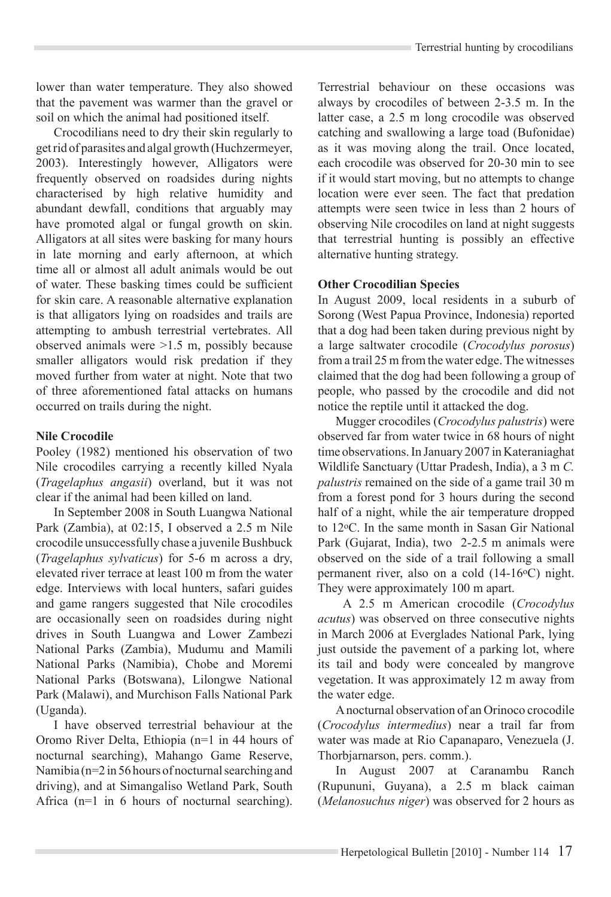lower than water temperature. They also showed that the pavement was warmer than the gravel or soil on which the animal had positioned itself.

Crocodilians need to dry their skin regularly to get rid of parasites and algal growth (Huchzermeyer, 2003). Interestingly however, Alligators were frequently observed on roadsides during nights characterised by high relative humidity and abundant dewfall, conditions that arguably may have promoted algal or fungal growth on skin. Alligators at all sites were basking for many hours in late morning and early afternoon, at which time all or almost all adult animals would be out of water. These basking times could be sufficient for skin care. A reasonable alternative explanation is that alligators lying on roadsides and trails are attempting to ambush terrestrial vertebrates. All observed animals were >1.5 m, possibly because smaller alligators would risk predation if they moved further from water at night. Note that two of three aforementioned fatal attacks on humans occurred on trails during the night.

#### **Nile Crocodile**

Pooley (1982) mentioned his observation of two Nile crocodiles carrying a recently killed Nyala (*Tragelaphus angasii*) overland, but it was not clear if the animal had been killed on land.

In September 2008 in South Luangwa National Park (Zambia), at 02:15, I observed a 2.5 m Nile crocodile unsuccessfully chase a juvenile Bushbuck (*Tragelaphus sylvaticus*) for 5-6 m across a dry, elevated river terrace at least 100 m from the water edge. Interviews with local hunters, safari guides and game rangers suggested that Nile crocodiles are occasionally seen on roadsides during night drives in South Luangwa and Lower Zambezi National Parks (Zambia), Mudumu and Mamili National Parks (Namibia), Chobe and Moremi National Parks (Botswana), Lilongwe National Park (Malawi), and Murchison Falls National Park (Uganda).

I have observed terrestrial behaviour at the Oromo River Delta, Ethiopia (n=1 in 44 hours of nocturnal searching), Mahango Game Reserve, Namibia (n=2 in 56 hours of nocturnal searching and driving), and at Simangaliso Wetland Park, South Africa (n=1 in 6 hours of nocturnal searching).

Terrestrial behaviour on these occasions was always by crocodiles of between 2-3.5 m. In the latter case, a 2.5 m long crocodile was observed catching and swallowing a large toad (Bufonidae) as it was moving along the trail. Once located, each crocodile was observed for 20-30 min to see if it would start moving, but no attempts to change location were ever seen. The fact that predation attempts were seen twice in less than 2 hours of observing Nile crocodiles on land at night suggests that terrestrial hunting is possibly an effective alternative hunting strategy.

#### **Other Crocodilian Species**

In August 2009, local residents in a suburb of Sorong (West Papua Province, Indonesia) reported that a dog had been taken during previous night by a large saltwater crocodile (*Crocodylus porosus*) from a trail 25 m from the water edge. The witnesses claimed that the dog had been following a group of people, who passed by the crocodile and did not notice the reptile until it attacked the dog.

Mugger crocodiles (*Crocodylus palustris*) were observed far from water twice in 68 hours of night time observations. In January 2007 in Kateraniaghat Wildlife Sanctuary (Uttar Pradesh, India), a 3 m *C. palustris* remained on the side of a game trail 30 m from a forest pond for 3 hours during the second half of a night, while the air temperature dropped to 12oC. In the same month in Sasan Gir National Park (Gujarat, India), two 2-2.5 m animals were observed on the side of a trail following a small permanent river, also on a cold (14-16oC) night. They were approximately 100 m apart.

 A 2.5 m American crocodile (*Crocodylus acutus*) was observed on three consecutive nights in March 2006 at Everglades National Park, lying just outside the pavement of a parking lot, where its tail and body were concealed by mangrove vegetation. It was approximately 12 m away from the water edge.

A nocturnal observation of an Orinoco crocodile (*Crocodylus intermedius*) near a trail far from water was made at Rio Capanaparo, Venezuela (J. Thorbjarnarson, pers. comm.).

In August 2007 at Caranambu Ranch (Rupununi, Guyana), a 2.5 m black caiman (*Melanosuchus niger*) was observed for 2 hours as